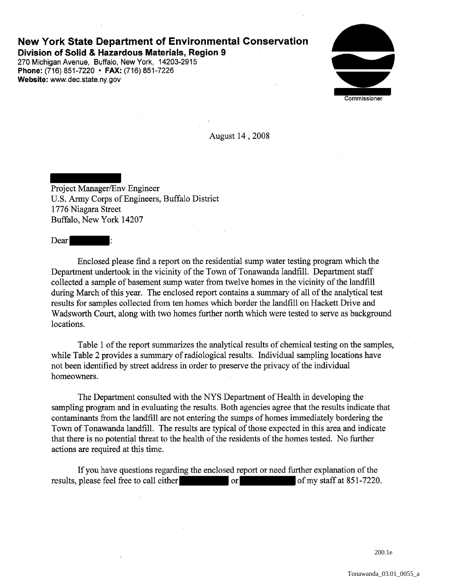## **New York State Department of Environmental Conservation Division of Solid & Hazardous Materials, Region 9**

270 Michigan Avenue, Buffalo, New York, 14203-2915 **Phone:** (716) 851-7220 • **FAX:** (716) 851-7226 **Website:** www.dec.state.ny.gov

Commissioner

August 14 , 2008

Project Manager/Env Engineer U.S. Army Corps of Engineers, Buffalo District 1776 Niagara Street Buffalo, New York 14207

Dear

Enclosed please find a report on the residential sump water testing program which the Department undertook in the vicinity of the Town of Tonawanda landfill. Department staff collected a sample of basement sump water from twelve homes in the vicinity of the landfill during March of this year. The enclosed report contains a summary of all of the analytical test results for samples collected from ten homes which border the landfill on Hackett Drive and Wadsworth Court, along with two homes further north which were tested to serve as background locations.

Table 1 of the report summarizes the analytical results of chemical testing on the samples, while Table 2 provides a summary of radiological results. Individual sampling locations have not been identified by street address in order to preserve the privacy of the individual homeowners.

The Department consulted with the NYS Department of Health in developing the sampling program and in evaluating the results. Both agencies agree that the results indicate that contaminants from the landfill are not entering the sumps of homes immediately bordering the Town of Tonawanda landfill. The results are typical of those expected in this area and indicate that there is no potential threat to the health of the residents of the homes tested. No further actions are required at this time.

If you have questions regarding the enclosed report or need further explanation of the results, please feel free to call either or or of my staff at 851-7220.

200.1e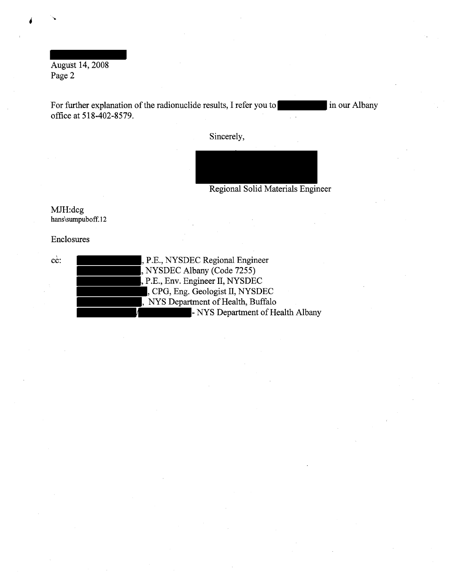August 14, 2008 Page 2

For further explanation of the radionuclide results, I refer you to in our Albany office at 518-402-8579.

Sincerely,

Regional Solid Materials Engineer

MJH:dcg hans\sumpuboff.l2

Enclosures

cc:

, P.E., NYSDEC Regional Engineer , NYSDEC Albany (Code 7255) , P.E., Env. Engineer II, NYSDEC , CPG, Eng. Geologist II, NYSDEC , NYS Department of Health, Buffalo - NYS Department of Health Albany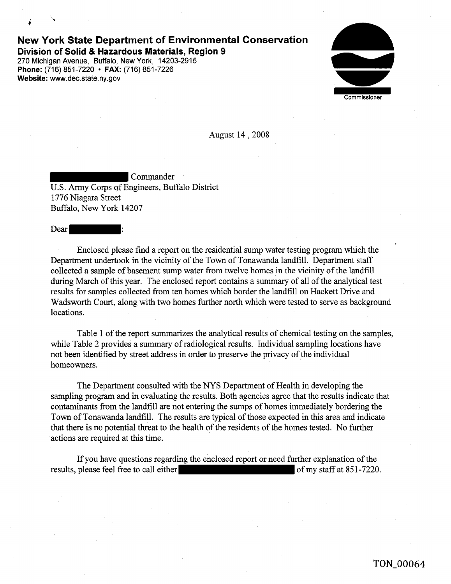## **New York State Department of Environmental Conservation Division of Solid & Hazardous Materials, Region 9**

270 Michigan Avenue, Buffalo, New York, 14203-2915 **Phone:** (716) 851-7220 • **FAX:** (716) 851-7226 **Website:** www.dec.state. ny.gov

Commissioner

August 14 , 2008

Commander U.S. Army Corps of Engineers, Buffalo District 1776 Niagara Street Buffalo, New York 14207

Dear

Enclosed please find a report on the residential sump water testing program which the Department undertook in the vicinity of the Town of Tonawanda landfill. Department staff collected a sample of basement sump water from twelve homes in the vicinity of the landfill during March of this year. The enclosed report contains a summary of all of the analytical test results for samples collected from ten homes which border the landfill on Hackett Drive and Wadsworth Court, along with two homes further north which were tested to serve as background locations.

Table 1 of the report summarizes the analytical results of chemical testing on the samples, while Table 2 provides a summary of radiological results. Individual sampling locations have not been identified by street address in order to preserve the privacy of the individual homeowners.

The Department consulted with the NYS Department of Health in developing the sampling program and in evaluating the results. Both agencies agree that the results indicate that contaminants from the landfill are not entering the sumps of homes immediately bordering the Town of Tonawanda landfill. The results are typical of those expected in this area and indicate that there is no potential threat to the health of the residents of the homes tested. No further actions are required at this time.

If you have questions regarding the enclosed report or need further explanation of the results, please feel free to call either of my staff at 851-7220.